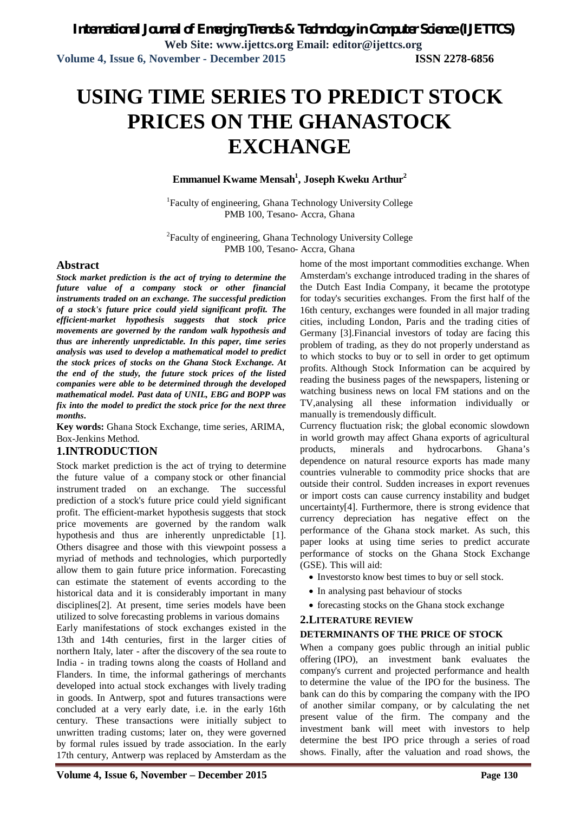# **USING TIME SERIES TO PREDICT STOCK PRICES ON THE GHANASTOCK EXCHANGE**

### **Emmanuel Kwame Mensah<sup>1</sup> , Joseph Kweku Arthur<sup>2</sup>**

<sup>1</sup>Faculty of engineering, Ghana Technology University College PMB 100, Tesano- Accra, Ghana

<sup>2</sup>Faculty of engineering, Ghana Technology University College PMB 100, Tesano- Accra, Ghana

### **Abstract**

*Stock market prediction is the act of trying to determine the future value of a company stock or other financial instruments traded on an exchange. The successful prediction of a stock's future price could yield significant profit. The efficient-market hypothesis suggests that stock price movements are governed by the random walk hypothesis and thus are inherently unpredictable. In this paper, time series analysis was used to develop a mathematical model to predict the stock prices of stocks on the Ghana Stock Exchange. At the end of the study, the future stock prices of the listed companies were able to be determined through the developed mathematical model. Past data of UNIL, EBG and BOPP was fix into the model to predict the stock price for the next three months***.** 

**Key words:** Ghana Stock Exchange, time series, ARIMA, Box-Jenkins Method*.*

### **1.INTRODUCTION**

Stock market prediction is the act of trying to determine the future value of a company stock or other financial instrument traded on an exchange. The successful prediction of a stock's future price could yield significant profit. The efficient-market hypothesis suggests that stock price movements are governed by the random walk hypothesis and thus are inherently unpredictable [1]. Others disagree and those with this viewpoint possess a myriad of methods and technologies, which purportedly allow them to gain future price information. Forecasting can estimate the statement of events according to the historical data and it is considerably important in many disciplines[2]. At present, time series models have been utilized to solve forecasting problems in various domains

Early manifestations of stock exchanges existed in the 13th and 14th centuries, first in the larger cities of northern Italy, later - after the discovery of the sea route to India - in trading towns along the coasts of Holland and Flanders. In time, the informal gatherings of merchants developed into actual stock exchanges with lively trading in goods. In Antwerp, spot and futures transactions were concluded at a very early date, i.e. in the early 16th century. These transactions were initially subject to unwritten trading customs; later on, they were governed by formal rules issued by trade association. In the early 17th century, Antwerp was replaced by Amsterdam as the home of the most important commodities exchange. When Amsterdam's exchange introduced trading in the shares of the Dutch East India Company, it became the prototype for today's securities exchanges. From the first half of the 16th century, exchanges were founded in all major trading cities, including London, Paris and the trading cities of Germany [3].Financial investors of today are facing this problem of trading, as they do not properly understand as to which stocks to buy or to sell in order to get optimum profits. Although Stock Information can be acquired by reading the business pages of the newspapers, listening or watching business news on local FM stations and on the TV,analysing all these information individually or manually is tremendously difficult.

Currency fluctuation risk; the global economic slowdown in world growth may affect Ghana exports of agricultural products, minerals and hydrocarbons. Ghana's dependence on natural resource exports has made many countries vulnerable to commodity price shocks that are outside their control. Sudden increases in export revenues or import costs can cause currency instability and budget uncertainty[4]. Furthermore, there is strong evidence that currency depreciation has negative effect on the performance of the Ghana stock market. As such, this paper looks at using time series to predict accurate performance of stocks on the Ghana Stock Exchange (GSE). This will aid:

- Investorsto know best times to buy or sell stock.
- In analysing past behaviour of stocks
- forecasting stocks on the Ghana stock exchange

### **2.LITERATURE REVIEW**

### **DETERMINANTS OF THE PRICE OF STOCK**

When a company goes public through an initial public offering (IPO), an investment bank evaluates the company's current and projected performance and health to determine the value of the IPO for the business. The bank can do this by comparing the company with the IPO of another similar company, or by calculating the net present value of the firm. The company and the investment bank will meet with investors to help determine the best IPO price through a series of road shows. Finally, after the valuation and road shows, the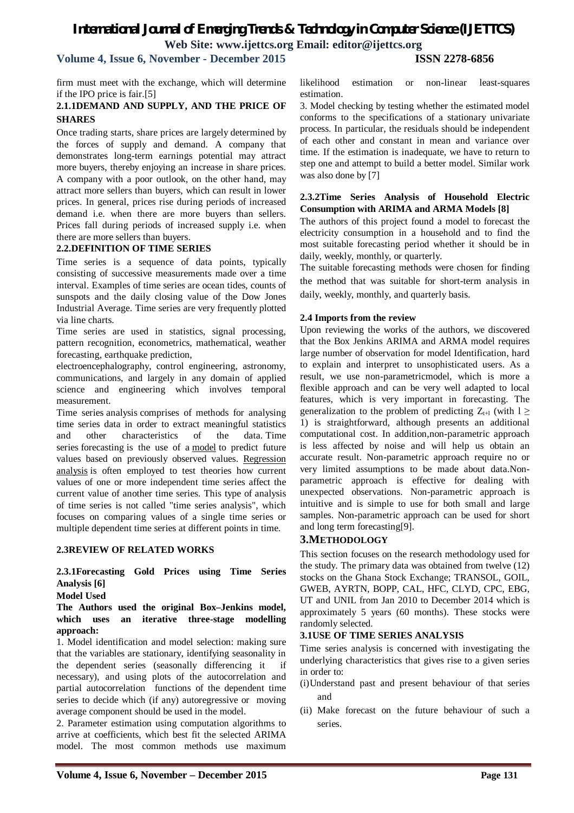# **Volume 4, Issue 6, November - December 2015 ISSN 2278-6856**

firm must meet with the exchange, which will determine if the IPO price is fair.[5]

### **2.1.1DEMAND AND SUPPLY, AND THE PRICE OF SHARES**

Once trading starts, share prices are largely determined by the forces of supply and demand. A company that demonstrates long-term earnings potential may attract more buyers, thereby enjoying an increase in share prices. A company with a poor outlook, on the other hand, may attract more sellers than buyers, which can result in lower prices. In general, prices rise during periods of increased demand i.e. when there are more buyers than sellers. Prices fall during periods of increased supply i.e. when there are more sellers than buyers.

### **2.2.DEFINITION OF TIME SERIES**

Time series is a sequence of data points, typically consisting of successive measurements made over a time interval. Examples of time series are ocean tides, counts of sunspots and the daily closing value of the Dow Jones Industrial Average. Time series are very frequently plotted via line charts.

Time series are used in statistics, signal processing, pattern recognition, econometrics, mathematical, weather forecasting, earthquake prediction,

electroencephalography, control engineering, astronomy, communications, and largely in any domain of applied science and engineering which involves temporal measurement.

Time series analysis comprises of methods for analysing time series data in order to extract meaningful statistics and other characteristics of the data. Time series forecasting is the use of a model to predict future values based on previously observed values. Regression analysis is often employed to test theories how current values of one or more independent time series affect the current value of another time series. This type of analysis of time series is not called "time series analysis", which focuses on comparing values of a single time series or multiple dependent time series at different points in time.

### **2.3REVIEW OF RELATED WORKS**

### **2.3.1Forecasting Gold Prices using Time Series Analysis [6]**

**Model Used**

### **The Authors used the original Box–Jenkins model, which uses an iterative three-stage modelling approach:**

1. Model identification and model selection: making sure that the variables are stationary, identifying seasonality in the dependent series (seasonally differencing it if necessary), and using plots of the autocorrelation and partial autocorrelation functions of the dependent time series to decide which (if any) autoregressive or moving average component should be used in the model.

2. Parameter estimation using computation algorithms to arrive at coefficients, which best fit the selected ARIMA model. The most common methods use maximum likelihood estimation or non-linear least-squares estimation.

3. Model checking by testing whether the estimated model conforms to the specifications of a stationary univariate process. In particular, the residuals should be independent of each other and constant in mean and variance over time. If the estimation is inadequate, we have to return to step one and attempt to build a better model. Similar work was also done by [7]

### **2.3.2Time Series Analysis of Household Electric Consumption with ARIMA and ARMA Models [8]**

The authors of this project found a model to forecast the electricity consumption in a household and to find the most suitable forecasting period whether it should be in daily, weekly, monthly, or quarterly.

The suitable forecasting methods were chosen for finding the method that was suitable for short-term analysis in daily, weekly, monthly, and quarterly basis.

### **2.4 Imports from the review**

Upon reviewing the works of the authors, we discovered that the Box Jenkins ARIMA and ARMA model requires large number of observation for model Identification, hard to explain and interpret to unsophisticated users. As a result, we use non-parametricmodel, which is more a flexible approach and can be very well adapted to local features, which is very important in forecasting. The generalization to the problem of predicting  $Z_{t+1}$  (with  $l \geq$ 1) is straightforward, although presents an additional computational cost. In addition,non-parametric approach is less affected by noise and will help us obtain an accurate result. Non-parametric approach require no or very limited assumptions to be made about data.Nonparametric approach is effective for dealing with unexpected observations. Non-parametric approach is intuitive and is simple to use for both small and large samples. Non-parametric approach can be used for short and long term forecasting[9].

### **3.METHODOLOGY**

This section focuses on the research methodology used for the study. The primary data was obtained from twelve (12) stocks on the Ghana Stock Exchange; TRANSOL, GOIL, GWEB, AYRTN, BOPP, CAL, HFC, CLYD, CPC, EBG, UT and UNIL from Jan 2010 to December 2014 which is approximately 5 years (60 months). These stocks were randomly selected.

### **3.1USE OF TIME SERIES ANALYSIS**

Time series analysis is concerned with investigating the underlying characteristics that gives rise to a given series in order to:

- (i)Understand past and present behaviour of that series and
- (ii) Make forecast on the future behaviour of such a series.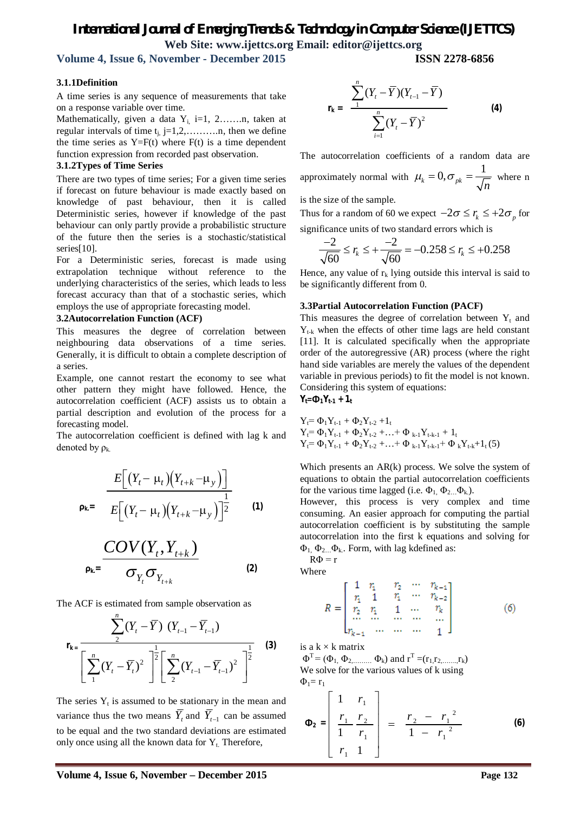**Volume 4, Issue 6, November - December 2015 ISSN 2278-6856**

*n*

### **3.1.1Definition**

A time series is any sequence of measurements that take on a response variable over time.

Mathematically, given a data  $Y_{i}$ , i=1, 2…….n, taken at regular intervals of time tj, j=1,2,……….n, then we define the time series as  $Y=F(t)$  where  $F(t)$  is a time dependent function expression from recorded past observation.

### **3.1.2Types of Time Series**

There are two types of time series; For a given time series if forecast on future behaviour is made exactly based on knowledge of past behaviour, then it is called Deterministic series, however if knowledge of the past behaviour can only partly provide a probabilistic structure of the future then the series is a stochastic/statistical series[10].

For a Deterministic series, forecast is made using extrapolation technique without reference to the underlying characteristics of the series, which leads to less forecast accuracy than that of a stochastic series, which employs the use of appropriate forecasting model.

### **3.2Autocorrelation Function (ACF)**

This measures the degree of correlation between neighbouring data observations of a time series. Generally, it is difficult to obtain a complete description of a series.

Example, one cannot restart the economy to see what other pattern they might have followed. Hence, the autocorrelation coefficient (ACF) assists us to obtain a partial description and evolution of the process for a forecasting model.

The autocorrelation coefficient is defined with lag k and denoted by  $\rho_k$ .

$$
\mathbf{p}_{k} = \frac{E\left[\left(Y_t - \mu_t\right)\left(Y_{t+k} - \mu_y\right)\right]}{E\left[\left(Y_t - \mu_t\right)\left(Y_{t+k} - \mu_y\right)\right]^{\frac{1}{2}}}
$$
 (1)

$$
\frac{COV(Y_t, Y_{t+k})}{\sigma_{Y_t}\sigma_{Y_{t+k}}}
$$
 (2)

The ACF is estimated from sample observation as

$$
\mathbf{r}_{\mathbf{k} = \frac{\sum_{2}^{n} (Y_{t} - \overline{Y}) (Y_{t-1} - \overline{Y}_{t-1})}{\left[\sum_{1}^{n} (Y_{t} - \overline{Y}_{t})^{2}\right]^{\frac{1}{2}} \left[\sum_{2}^{n} (Y_{t-1} - \overline{Y}_{t-1})^{2}\right]^{\frac{1}{2}}}
$$
(3)

The series  $Y_t$  is assumed to be stationary in the mean and variance thus the two means  $Y_t$  and  $Y_{t-1}$  can be assumed to be equal and the two standard deviations are estimated only once using all the known data for  $Y_t$ . Therefore,

$$
\mathbf{r}_{k} = \frac{\sum_{1}^{n} (Y_{t} - \overline{Y})(Y_{t-1} - \overline{Y})}{\sum_{i=1}^{n} (Y_{t} - \overline{Y})^{2}}
$$
 (4)

The autocorrelation coefficients of a random data are approximately normal with  $\mu_k = 0, \sigma_{pk} = \frac{1}{\sqrt{k}}$  $\mu_k = 0, \sigma_{nk} = \frac{1}{\sqrt{k}}$  where n

is the size of the sample.

Thus for a random of 60 we expect  $-2\sigma \le r_k \le +2\sigma_p$  for significance units of two standard errors which is

$$
\frac{-2}{\sqrt{60}} \le r_k \le +\frac{-2}{\sqrt{60}} = -0.258 \le r_k \le +0.258
$$

Hence, any value of  $r_k$  lying outside this interval is said to be significantly different from 0.

### **3.3Partial Autocorrelation Function (PACF)**

This measures the degree of correlation between  $Y_t$  and  $Y_{t-k}$  when the effects of other time lags are held constant [11]. It is calculated specifically when the appropriate order of the autoregressive (AR) process (where the right hand side variables are merely the values of the dependent variable in previous periods) to fit the model is not known. Considering this system of equations:

$$
Y_t = \Phi_1 Y_{t-1} + \mathbf{1}_t
$$

$$
Y_{t} = \Phi_{1}Y_{t-1} + \Phi_{2}Y_{t-2} + I_{t}
$$
  
\n
$$
Y_{t} = \Phi_{1}Y_{t-1} + \Phi_{2}Y_{t-2} + ... + \Phi_{k-1}Y_{t-k-1} + I_{t}
$$
  
\n
$$
Y_{t} = \Phi_{1}Y_{t-1} + \Phi_{2}Y_{t-2} + ... + \Phi_{k-1}Y_{t-k-1} + \Phi_{k}Y_{t-k} + I_{t}(5)
$$

Which presents an AR(k) process. We solve the system of equations to obtain the partial autocorrelation coefficients for the various time lagged (i.e.  $\Phi_1$ ,  $\Phi_2$ ,  $\Phi_k$ ).

However, this process is very complex and time consuming. An easier approach for computing the partial autocorrelation coefficient is by substituting the sample autocorrelation into the first k equations and solving for  $\Phi_1$ ,  $\Phi_2$ ,  $\Phi_k$ . Form, with lag kdefined as:

 $R\Phi = r$ Where

$$
R = \begin{bmatrix} 1 & r_1 & r_2 & \cdots & r_{k-1} \\ r_1 & 1 & r_1 & \cdots & r_{k-2} \\ r_2 & r_1 & 1 & \cdots & r_k \\ \cdots & \cdots & \cdots & \cdots & \cdots \\ r_{k-1} & \cdots & \cdots & \cdots & 1 \end{bmatrix}
$$
 (6)

is a  $k \times k$  matrix

 $\Phi^T = (\Phi_1, \Phi_2, \dots, \Phi_k)$  and  $r^T = (r_1, r_2, \dots, r_k)$ We solve for the various values of k using  $\Phi_1 = r_1$ 

$$
\Phi_2 = \begin{bmatrix} 1 & r_1 \\ \frac{r_1}{1} & \frac{r_2}{r_1} \\ r_1 & 1 \end{bmatrix} = \frac{r_2 - r_1^2}{1 - r_1^2}
$$
 (6)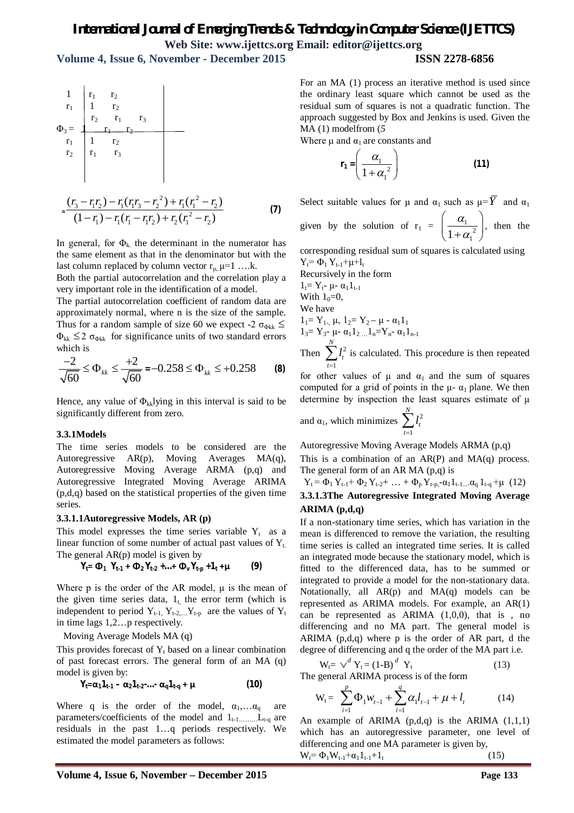**Volume 4, Issue 6, November - December 2015 ISSN 2278-6856**

$$
\begin{array}{ccc}\n1 & r_1 & r_2 \\
r_1 & 1 & r_2 \\
r_2 & r_1 & r_3 \\
r_1 & 1 & r_2 \\
r_2 & r_1 & r_3\n\end{array}
$$
\n
$$
= \frac{(r_3 - r_1 r_2) - r_1 (r_1 r_3 - r_2^2) + r_1 (r_1^2 - r_2)}{(1 - r_1) - r_1 (r_1 - r_1 r_2) + r_2 (r_1^2 - r_2)}
$$
\n(7)

In general, for  $\Phi_k$  the determinant in the numerator has the same element as that in the denominator but with the last column replaced by column vector  $r_{\mu}$   $\mu$ =1 ….k.

Both the partial autocorrelation and the correlation play a very important role in the identification of a model.

The partial autocorrelation coefficient of random data are approximately normal, where n is the size of the sample. Thus for a random sample of size 60 we expect -2  $\sigma_{\text{obk}} \leq$  $\Phi_{kk} \leq 2 \sigma_{\Phi_{kk}}$  for significance units of two standard errors which is

$$
\frac{-2}{\sqrt{60}} \le \Phi_{kk} \le \frac{+2}{\sqrt{60}} = -0.258 \le \Phi_{kk} \le +0.258
$$
 (8)

Hence, any value of  $\Phi_{kk}$ lying in this interval is said to be significantly different from zero.

### **3.3.1Models**

The time series models to be considered are the Autoregressive AR(p), Moving Averages MA(q), Autoregressive Moving Average ARMA (p,q) and Autoregressive Integrated Moving Average ARIMA (p,d,q) based on the statistical properties of the given time series.

#### **3.3.1.1Autoregressive Models, AR (p)**

This model expresses the time series variable  $Y_t$  as a linear function of some number of actual past values of  $Y_t$ . The general AR(p) model is given by

$$
Y_{t} = \Phi_{1} Y_{t-1} + \Phi_{2} Y_{t-2} + ... + \Phi_{v} Y_{t-p} + 1_{t} + \mu
$$
 (9)

Where p is the order of the AR model, μ is the mean of the given time series data,  $1<sub>t</sub>$ , the error term (which is independent to period  $Y_{t-1}$ ,  $Y_{t-2}$ ,  $Y_{t-p}$  are the values of  $Y_t$ in time lags 1,2…p respectively.

Moving Average Models MA (q)

This provides forecast of  $Y_t$  based on a linear combination of past forecast errors. The general form of an MA (q) model is given by:

$$
Y_t = \alpha_1 1_{t-1} - \alpha_2 1_{t-2} - \alpha_q 1_{t-q} + \mu \tag{10}
$$

Where q is the order of the model,  $\alpha_1, \ldots, \alpha_q$  are parameters/coefficients of the model and  $1_{t-1, \ldots, t_{t-q}}$  are residuals in the past 1…q periods respectively. We estimated the model parameters as follows:

For an MA (1) process an iterative method is used since the ordinary least square which cannot be used as the residual sum of squares is not a quadratic function. The approach suggested by Box and Jenkins is used. Given the MA (1) modelfrom (*5*

Where  $\mu$  and  $\alpha_1$  are constants and

$$
\mathbf{r}_1 = \left(\frac{\alpha_1}{1 + \alpha_1^2}\right) \tag{11}
$$

Select suitable values for  $\mu$  and  $\alpha_1$  such as  $\mu = \overline{Y}$  and  $\alpha_1$ given by the solution of  $r_1 = \frac{a_1}{1 + a_2^2}$  $1 + \alpha_1$  $\alpha$  $\left(\frac{\alpha_1}{1+\alpha_1^2}\right),$ , then the

corresponding residual sum of squares is calculated using  $Y_t = \Phi_1 Y_{t-1} + \mu + I_t$ 

Recursively in the form  $1_t = Y_t - \mu - \alpha_1 1_{t-1}$ With  $1_0=0$ , We have  $1_1= Y_1, \mu, 1_2= Y_2 - \mu - \alpha_1 1_1$  $1_3= Y_3- \mu - \alpha_1 1_2 ... 1_n = Y_n - \alpha_1 1_{n-1}$ Then  $\sum l_i^2$ *N l*

1 *t t*  $\sum_{t=1}^{n} l_i^2$  is calculated. This procedure is then repeated

for other values of  $\mu$  and  $\alpha_1$  and the sum of squares computed for a grid of points in the  $\mu$ -  $\alpha$ <sub>1</sub> plane. We then determine by inspection the least squares estimate of μ

and 
$$
\alpha_1
$$
, which minimizes  $\sum_{t=1}^{N} l_t^2$ 

Autoregressive Moving Average Models ARMA (p,q)

This is a combination of an  $AR(P)$  and  $MA(q)$  process. The general form of an AR MA (p,q) is

Yt = Φ1 Yt-1+ Φ2 Yt-2+ … + Φp Yt-p,-α11t-1...-αq 1t-q +μ (12)

### **3.3.1.3The Autoregressive Integrated Moving Average ARIMA (p,d,q)**

If a non-stationary time series, which has variation in the mean is differenced to remove the variation, the resulting time series is called an integrated time series. It is called an integrated mode because the stationary model, which is fitted to the differenced data, has to be summed or integrated to provide a model for the non-stationary data. Notationally, all  $AR(p)$  and  $MA(q)$  models can be represented as ARIMA models. For example, an AR(1) can be represented as  $ARIMA (1,0,0)$ , that is, no differencing and no MA part. The general model is ARIMA (p,d,q) where p is the order of AR part, d the degree of differencing and q the order of the MA part i.e.

$$
W_t = \sqrt{^d} Y_t = (1 - B)^d Y_t
$$
 (13)  
the general ABIMA process is of the form

The general ARIMA process is of the form

$$
W_{t} = \sum_{i=1}^{p} \Phi_{1} W_{t-1} + \sum_{i=1}^{q} \alpha_{i} l_{t-1} + \mu + l_{t}
$$
 (14)

An example of ARIMA  $(p,d,q)$  is the ARIMA  $(1,1,1)$ which has an autoregressive parameter, one level of differencing and one MA parameter is given by,  $W_t = \Phi_1 W_{t-1} + \alpha_1 1_{t-1} + 1_t$ (15)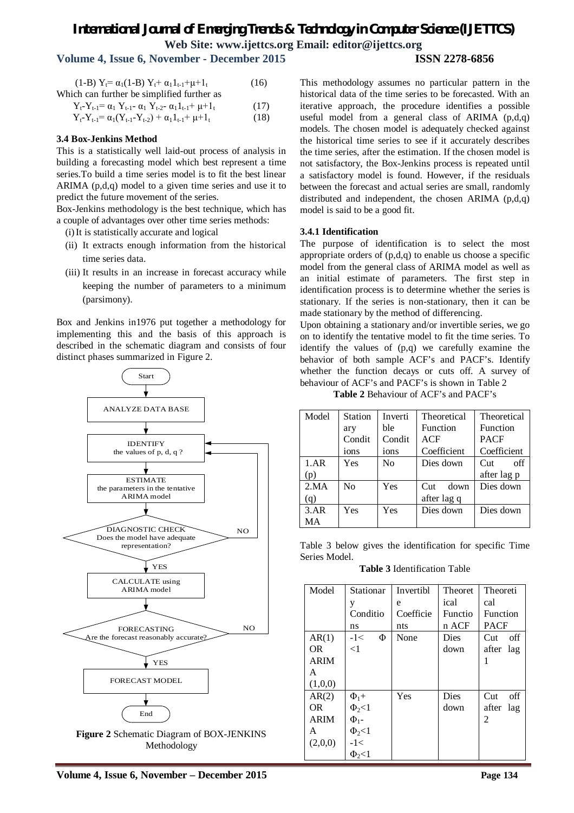# *International Journal of Emerging Trends & Technology in Computer Science (IJETTCS)* **Web Site: www.ijettcs.org Email: editor@ijettcs.org Volume 4, Issue 6, November - December 2015 ISSN 2278-6856**

| (1-B) $Y_t = \alpha_1(1-B) Y_t + \alpha_1 I_{t-1} + \mu + I_t$                       | (16) |
|--------------------------------------------------------------------------------------|------|
| Which can further be simplified further as                                           |      |
| $Y_t - Y_{t-1} = \alpha_1 Y_{t-1} - \alpha_1 Y_{t-2} - \alpha_1 I_{t-1} + \mu + I_t$ | (17) |
| $Y_{t-}Y_{t-1} = \alpha_1(Y_{t-1}-Y_{t-2}) + \alpha_1 I_{t-1} + \mu + I_t$           | (18) |

### **3.4 Box-Jenkins Method**

This is a statistically well laid-out process of analysis in building a forecasting model which best represent a time series.To build a time series model is to fit the best linear ARIMA (p,d,q) model to a given time series and use it to predict the future movement of the series.

Box-Jenkins methodology is the best technique, which has a couple of advantages over other time series methods:

(i)It is statistically accurate and logical

- (ii) It extracts enough information from the historical time series data.
- (iii) It results in an increase in forecast accuracy while keeping the number of parameters to a minimum (parsimony).

Box and Jenkins in1976 put together a methodology for implementing this and the basis of this approach is described in the schematic diagram and consists of four distinct phases summarized in Figure 2.



**Figure 2** Schematic Diagram of BOX-JENKINS Methodology

This methodology assumes no particular pattern in the historical data of the time series to be forecasted. With an iterative approach, the procedure identifies a possible useful model from a general class of ARIMA  $(p,d,q)$ models. The chosen model is adequately checked against the historical time series to see if it accurately describes the time series, after the estimation. If the chosen model is not satisfactory, the Box-Jenkins process is repeated until a satisfactory model is found. However, if the residuals between the forecast and actual series are small, randomly distributed and independent, the chosen ARIMA (p,d,q) model is said to be a good fit.

### **3.4.1 Identification**

The purpose of identification is to select the most appropriate orders of  $(p,d,q)$  to enable us choose a specific model from the general class of ARIMA model as well as an initial estimate of parameters. The first step in identification process is to determine whether the series is stationary. If the series is non-stationary, then it can be made stationary by the method of differencing.

Upon obtaining a stationary and/or invertible series, we go on to identify the tentative model to fit the time series. To identify the values of (p,q) we carefully examine the behavior of both sample ACF's and PACF's. Identify whether the function decays or cuts off. A survey of behaviour of ACF's and PACF's is shown in Table 2

**Table 2** Behaviour of ACF's and PACF's

| Model | <b>Station</b> | Inverti        | Theoretical            | Theoretical           |
|-------|----------------|----------------|------------------------|-----------------------|
|       | ary            | ble            | Function               | Function              |
|       | Condit         | Condit         | <b>ACF</b>             | <b>PACF</b>           |
|       | ions           | ions           | Coefficient            | Coefficient           |
| 1.AR  | Yes            | N <sub>0</sub> | Dies down              | off<br>$\mathrm{Cut}$ |
| (p)   |                |                |                        | after lag p           |
| 2.MA  | No             | Yes            | down<br>$\mathrm{Cut}$ | Dies down             |
| (q)   |                |                | after lag q            |                       |
| 3.AR  | Yes            | Yes            | Dies down              | Dies down             |
| MA    |                |                |                        |                       |

Table 3 below gives the identification for specific Time Series Model.

**Table 3** Identification Table

| Model       | Stationar             | Invertibl | <b>Theoret</b> | Theoreti        |
|-------------|-----------------------|-----------|----------------|-----------------|
|             | у                     | e         | ical           | cal             |
|             | Conditio              | Coefficie | Functio        | <b>Function</b> |
|             | ns                    | nts       | n ACF          | <b>PACF</b>     |
| AR(1)       | $-1<$<br>Φ            | None      | Dies.          | off<br>Cut      |
| OR.         | $\leq$ 1              |           | down           | after<br>lag    |
| <b>ARIM</b> |                       |           |                |                 |
| A           |                       |           |                |                 |
| (1,0,0)     |                       |           |                |                 |
| AR(2)       | $\Phi_1 +$            | Yes       | Dies           | off<br>Cut      |
| OR.         | $\Phi_2$ <1           |           | down           | after<br>lag    |
| <b>ARIM</b> | $\Phi$ <sub>1</sub> - |           |                | 2               |
| A           | $\Phi_2$ <1           |           |                |                 |
| (2,0,0)     | $-1<$                 |           |                |                 |
|             | $\Phi_{2}$ < 1        |           |                |                 |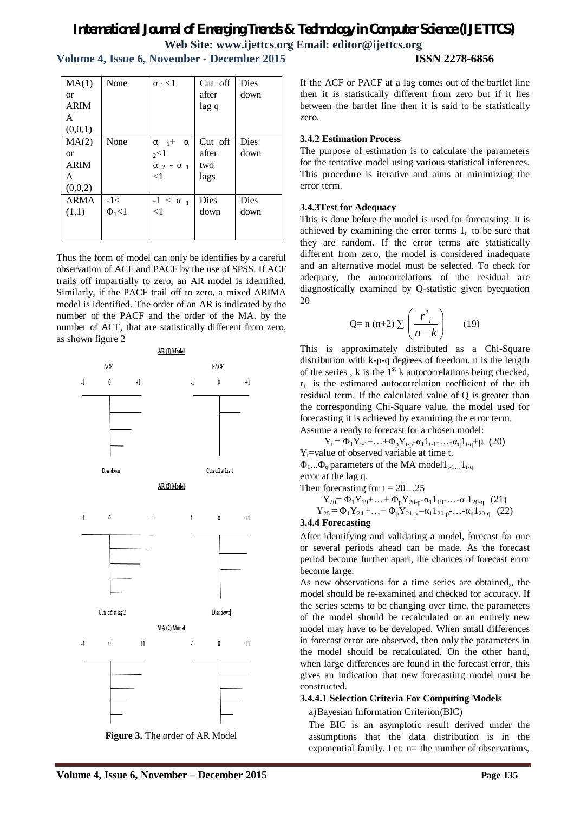**Volume 4, Issue 6, November - December 2015 ISSN 2278-6856**

 $MA(1)$ or ARIM A  $(0,0,1)$ None  $\vert \alpha_1 \leq 1 \vert$  Cut off after lag q Dies down  $MA(2)$ or ARIM A  $(0,0,2)$ None  $\alpha_{1}+\alpha$  $2<1$  $\alpha$   $2 - \alpha$  1  $\leq$ 1 Cut off after two lags Dies down ARMA (1,1)  $-1<$  $\Phi_1$ <1  $-1 < \alpha$ <sub>1</sub>  $\leq$ 1 Dies down Dies down

Thus the form of model can only be identifies by a careful observation of ACF and PACF by the use of SPSS. If ACF trails off impartially to zero, an AR model is identified. Similarly, if the PACF trail off to zero, a mixed ARIMA model is identified. The order of an AR is indicated by the number of the PACF and the order of the MA, by the number of ACF, that are statistically different from zero, as shown figure 2



**Figure 3.** The order of AR Model

If the ACF or PACF at a lag comes out of the bartlet line then it is statistically different from zero but if it lies between the bartlet line then it is said to be statistically zero.

### **3.4.2 Estimation Process**

The purpose of estimation is to calculate the parameters for the tentative model using various statistical inferences. This procedure is iterative and aims at minimizing the error term.

### **3.4.3Test for Adequacy**

This is done before the model is used for forecasting. It is achieved by examining the error terms  $1<sub>t</sub>$  to be sure that they are random. If the error terms are statistically different from zero, the model is considered inadequate and an alternative model must be selected. To check for adequacy, the autocorrelations of the residual are diagnostically examined by Q-statistic given byequation 20

$$
Q = n (n+2) \sum \left( \frac{r^2}{n-k} \right) \qquad (19)
$$

This is approximately distributed as a Chi-Square distribution with k-p-q degrees of freedom. n is the length of the series, k is the  $1<sup>st</sup>$  k autocorrelations being checked,  $r_i$  is the estimated autocorrelation coefficient of the ith residual term. If the calculated value of Q is greater than the corresponding Chi-Square value, the model used for forecasting it is achieved by examining the error term. Assume a ready to forecast for a chosen model:

 $Y_t = \Phi_1 Y_{t-1} + ... + \Phi_p Y_{t-p} - \alpha_1 1_{t-1} - ... - \alpha_q 1_{t-q} + \mu$  (20)

 $Y_t$ =value of observed variable at time t.

 $\Phi_1...\Phi_q$  parameters of the MA model $1_{t-1}$   $1_{t-q}$ 

error at the lag q.

Then forecasting for 
$$
t = 20...25
$$

$$
Y_{20} = \Phi_1 Y_{19} + \ldots + \Phi_p Y_{20-p} - \alpha_1 1_{19} - \ldots - \alpha 1_{20-q} (21)
$$

$$
Y_{25} = \Phi_1 Y_{24} + \ldots + \Phi_p Y_{21-p} - \alpha_1 1_{20-p} - \ldots - \alpha_q 1_{20-q}
$$
 (22)

### **3.4.4 Forecasting**

After identifying and validating a model, forecast for one or several periods ahead can be made. As the forecast period become further apart, the chances of forecast error become large.

As new observations for a time series are obtained,, the model should be re-examined and checked for accuracy. If the series seems to be changing over time, the parameters of the model should be recalculated or an entirely new model may have to be developed. When small differences in forecast error are observed, then only the parameters in the model should be recalculated. On the other hand, when large differences are found in the forecast error, this gives an indication that new forecasting model must be constructed.

### **3.4.4.1 Selection Criteria For Computing Models**

### a)Bayesian Information Criterion(BIC)

The BIC is an asymptotic result derived under the assumptions that the data distribution is in the exponential family. Let: n= the number of observations,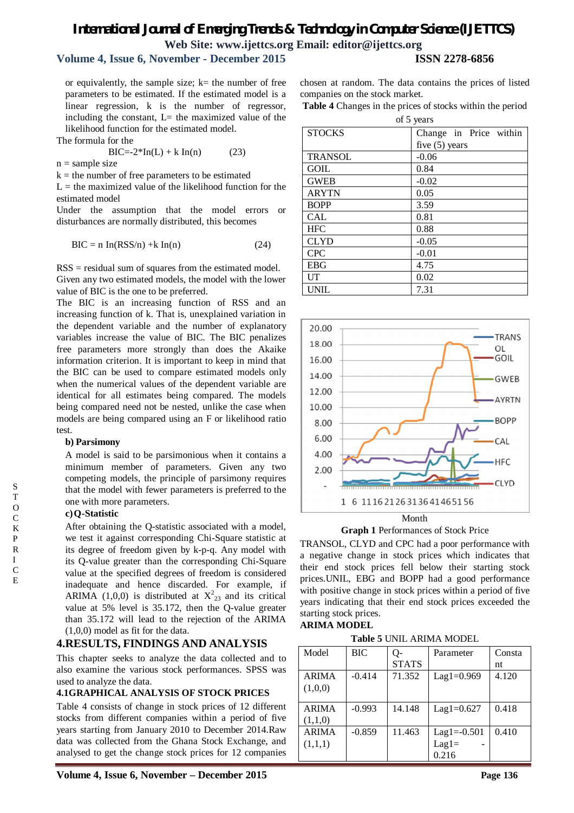# **Volume 4, Issue 6, November - December 2015 ISSN 2278-6856**

or equivalently, the sample size;  $k=$  the number of free parameters to be estimated. If the estimated model is a linear regression, k is the number of regressor, including the constant,  $L=$  the maximized value of the likelihood function for the estimated model.

The formula for the

$$
BIC = -2*In(L) + k In(n) \tag{23}
$$

 $n =$ sample size

 $k =$  the number of free parameters to be estimated

 $L =$  the maximized value of the likelihood function for the estimated model

Under the assumption that the model errors or disturbances are normally distributed, this becomes

$$
BIC = n \ln(RSS/n) + k \ln(n) \tag{24}
$$

RSS = residual sum of squares from the estimated model. Given any two estimated models, the model with the lower value of BIC is the one to be preferred.

The BIC is an increasing function of RSS and an increasing function of k. That is, unexplained variation in the dependent variable and the number of explanatory variables increase the value of BIC. The BIC penalizes free parameters more strongly than does the Akaike information criterion. It is important to keep in mind that the BIC can be used to compare estimated models only when the numerical values of the dependent variable are identical for all estimates being compared. The models being compared need not be nested, unlike the case when models are being compared using an F or likelihood ratio test.

### **b) Parsimony**

A model is said to be parsimonious when it contains a minimum member of parameters. Given any two competing models, the principle of parsimony requires that the model with fewer parameters is preferred to the one with more parameters.

### **c)Q-Statistic**

After obtaining the Q-statistic associated with a model, we test it against corresponding Chi-Square statistic at its degree of freedom given by k-p-q. Any model with its Q-value greater than the corresponding Chi-Square value at the specified degrees of freedom is considered inadequate and hence discarded. For example, if ARIMA (1,0,0) is distributed at  $X^2_{23}$  and its critical value at 5% level is 35.172, then the Q-value greater than 35.172 will lead to the rejection of the ARIMA (1,0,0) model as fit for the data.

## **4.RESULTS, FINDINGS AND ANALYSIS**

This chapter seeks to analyze the data collected and to also examine the various stock performances. SPSS was used to analyze the data.

### **4.1GRAPHICAL ANALYSIS OF STOCK PRICES**

Table 4 consists of change in stock prices of 12 different stocks from different companies within a period of five years starting from January 2010 to December 2014.Raw data was collected from the Ghana Stock Exchange, and analysed to get the change stock prices for 12 companies

chosen at random. The data contains the prices of listed companies on the stock market.

**Table 4** Changes in the prices of stocks within the period of 5 years

| $\mathsf{u} \mathsf{v}$ , $\mathsf{v} \mathsf{u} \mathsf{u} \mathsf{v}$ |                        |  |  |  |  |
|-------------------------------------------------------------------------|------------------------|--|--|--|--|
| <b>STOCKS</b>                                                           | Change in Price within |  |  |  |  |
|                                                                         | five $(5)$ years       |  |  |  |  |
| <b>TRANSOL</b>                                                          | $-0.06$                |  |  |  |  |
| <b>GOIL</b>                                                             | 0.84                   |  |  |  |  |
| <b>GWEB</b>                                                             | $-0.02$                |  |  |  |  |
| <b>ARYTN</b>                                                            | 0.05                   |  |  |  |  |
| <b>BOPP</b>                                                             | 3.59                   |  |  |  |  |
| <b>CAL</b>                                                              | 0.81                   |  |  |  |  |
| <b>HFC</b>                                                              | 0.88                   |  |  |  |  |
| <b>CLYD</b>                                                             | $-0.05$                |  |  |  |  |
| <b>CPC</b>                                                              | $-0.01$                |  |  |  |  |
| <b>EBG</b>                                                              | 4.75                   |  |  |  |  |
| UT                                                                      | 0.02                   |  |  |  |  |
| <b>UNIL</b>                                                             | 7.31                   |  |  |  |  |



Month

**Graph 1** Performances of Stock Price

TRANSOL, CLYD and CPC had a poor performance with a negative change in stock prices which indicates that their end stock prices fell below their starting stock prices.UNIL, EBG and BOPP had a good performance with positive change in stock prices within a period of five years indicating that their end stock prices exceeded the starting stock prices.

### **ARIMA MODEL**

**Table 5** UNIL ARIMA MODEL

| Model        | BIC      | О-           | Parameter       | Consta |
|--------------|----------|--------------|-----------------|--------|
|              |          | <b>STATS</b> |                 | nt     |
| <b>ARIMA</b> | $-0.414$ | 71.352       | $Lag1 = 0.969$  | 4.120  |
| (1,0,0)      |          |              |                 |        |
|              |          |              |                 |        |
| <b>ARIMA</b> | $-0.993$ | 14.148       | $Lag1 = 0.627$  | 0.418  |
| (1,1,0)      |          |              |                 |        |
| <b>ARIMA</b> | $-0.859$ | 11.463       | $Lag1 = -0.501$ | 0.410  |
| (1,1,1)      |          |              | $Lag1=$         |        |
|              |          |              | 0.216           |        |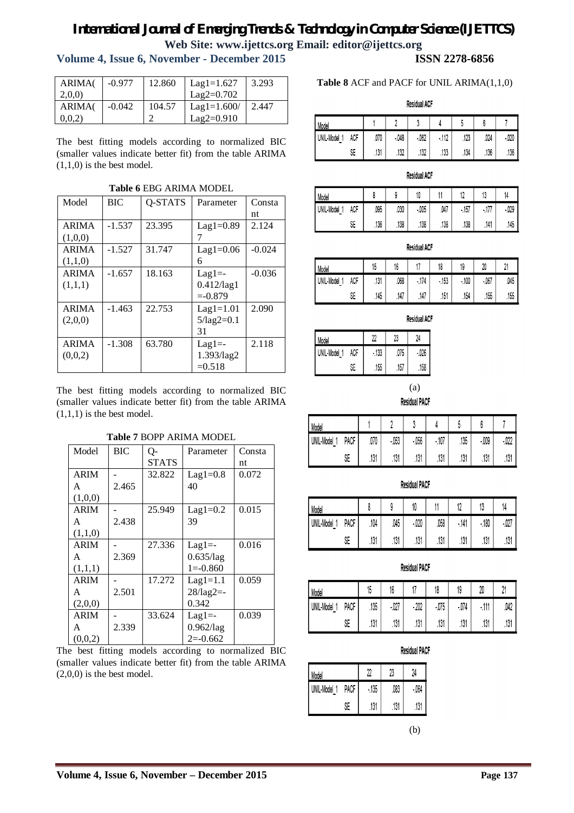# **Volume 4, Issue 6, November - December 2015 ISSN 2278-6856**

| <b>ARIMA</b> | $-0.977$ | 12.860 | $Lag1=1.627$  | 3.293 |
|--------------|----------|--------|---------------|-------|
| 2,0,0        |          |        | $Laq2=0.702$  |       |
| <b>ARIMA</b> | $-0.042$ | 104.57 | $Lag1=1.600/$ | 2.447 |
| 0,0,2)       |          |        | $Lag2=0.910$  |       |

The best fitting models according to normalized BIC (smaller values indicate better fit) from the table ARIMA (1,1,0) is the best model.

| Model        | BIC      | O-STATS | Parameter           | Consta   |
|--------------|----------|---------|---------------------|----------|
|              |          |         |                     | nt       |
| <b>ARIMA</b> | $-1.537$ | 23.395  | $Lag1=0.89$         | 2.124    |
| (1,0,0)      |          |         |                     |          |
| <b>ARIMA</b> | $-1.527$ | 31.747  | $Lag1=0.06$         | $-0.024$ |
| (1,1,0)      |          |         | 6                   |          |
| <b>ARIMA</b> | $-1.657$ | 18.163  | $Lag1 = -$          | $-0.036$ |
| (1,1,1)      |          |         | $0.412$ /lag1       |          |
|              |          |         | $= -0.879$          |          |
| <b>ARIMA</b> | $-1.463$ | 22.753  | $Lag1=1.01$         | 2.090    |
| (2,0,0)      |          |         | $5/\text{lag2}=0.1$ |          |
|              |          |         | 31                  |          |
| <b>ARIMA</b> | $-1.308$ | 63.780  | $Lag1 = -$          | 2.118    |
| (0,0,2)      |          |         | 1.393/lag2          |          |
|              |          |         | $=0.518$            |          |

**Table 6** EBG ARIMA MODEL

The best fitting models according to normalized BIC (smaller values indicate better fit) from the table ARIMA  $(1,1,1)$  is the best model.

**Table 7** BOPP ARIMA MODEL

| Model       | BIC   | $Q-$         | Parameter           | Consta |
|-------------|-------|--------------|---------------------|--------|
|             |       | <b>STATS</b> |                     | nt     |
| <b>ARIM</b> |       | 32.822       | $Lag1=0.8$          | 0.072  |
| A           | 2.465 |              | 40                  |        |
| (1,0,0)     |       |              |                     |        |
| <b>ARIM</b> |       | 25.949       | $Lag1=0.2$          | 0.015  |
| A           | 2.438 |              | 39                  |        |
| (1,1,0)     |       |              |                     |        |
| <b>ARIM</b> |       | 27.336       | $Lag1 = -$          | 0.016  |
| A           | 2.369 |              | $0.635$ /lag        |        |
| (1,1,1)     |       |              | $1 = -0.860$        |        |
| <b>ARIM</b> |       | 17.272       | $Lag1=1.1$          | 0.059  |
| A           | 2.501 |              | $28/\text{lag2}$ =- |        |
| (2,0,0)     |       |              | 0.342               |        |
| <b>ARIM</b> |       | 33.624       | $Lag1 = -$          | 0.039  |
| A           | 2.339 |              | $0.962$ /lag        |        |
| (0,0,2)     |       |              | $2=0.662$           |        |

The best fitting models according to normalized BIC (smaller values indicate better fit) from the table ARIMA  $(2,0,0)$  is the best model.

### **Table 8** ACF and PACF for UNIL ARIMA(1,1,0)

**Residual ACF** 

| Model        |     |      |        |        |            |      |      |        |
|--------------|-----|------|--------|--------|------------|------|------|--------|
| UNIL-Model 1 | ACF | .070 | $-048$ | $-062$ | .112<br>51 | .123 | .024 | $-020$ |
|              | SE  | .131 | .132   | .132   | .133       | .134 | .136 | .136   |

| <b>Residual ACF</b> |  |
|---------------------|--|
|                     |  |

| Model           |     |      |      | 10     |      | 17<br>ı   | 13                              | 14     |
|-----------------|-----|------|------|--------|------|-----------|---------------------------------|--------|
| UNIL-Model<br>- | ACF | .095 | .030 | $-005$ | .047 | .157<br>٠ | 177<br>$\mathcal{U}$<br>٠<br>٠. | $-029$ |
|                 | SE  | .136 | .138 | .138   | .138 | .138      | .141                            | .145   |

**Residual ACF** 

| Model      |   |     | 15   | 16   | . .       | 18        | 19        | 20        | n,<br>. . |
|------------|---|-----|------|------|-----------|-----------|-----------|-----------|-----------|
| UNIL-Model | - | ACF | .131 | .068 | .174<br>۰ | .153<br>۰ | .100<br>۰ | .067<br>٠ | .045      |
|            |   | SE  | .145 | .147 | .147      | .151      | .154      | .155      | .155      |

**Residual ACF** 

| Model        |     | 22     | 23   | 24     |
|--------------|-----|--------|------|--------|
| UNIL-Model 1 | ACF | $-133$ | .075 | $-026$ |
|              | SE  | .155   | .157 | .158   |

(a)

**Residual PACF** 

| Model      |      |      |        |        |        |      |        |        |
|------------|------|------|--------|--------|--------|------|--------|--------|
| UNIL-Model | PACF | .070 | $-053$ | $-056$ | $-107$ | .135 | $-009$ | $-022$ |
|            | SE   | .131 | .131   | .131   | .131   | .131 | .131   | .131   |

| Model      |      |      |      | 10     |      | 40<br>ı    | ΙV     | 14     |
|------------|------|------|------|--------|------|------------|--------|--------|
| UNIL-Model | PACF | .104 | .045 | $-020$ | .058 | - 141<br>٠ | $-180$ | $-027$ |
|            | SE   | .131 | .131 | .131   | .131 | .131       | .131   | .131   |

**Residual PACF** 

| Model           |      | 15   | 16     | 47     | 18     | 19     | 20       | $\sim$<br>$\epsilon$ |
|-----------------|------|------|--------|--------|--------|--------|----------|----------------------|
| UNIL-Model<br>- | PACF | .135 | $-027$ | $-202$ | $-075$ | $-074$ | 111<br>٠ | .042                 |
|                 | SE   | .131 | .131   | .131   | .131   | .131   | .131     | .131                 |

**Residual PACF** 

| Model        |      | ኅግ     | 23   | 24     |
|--------------|------|--------|------|--------|
| JNIL-Model 1 | PACF | $-135$ | .083 | $-064$ |
|              | SF   | .131   | .131 | .131   |

(b)

**Residual PACF**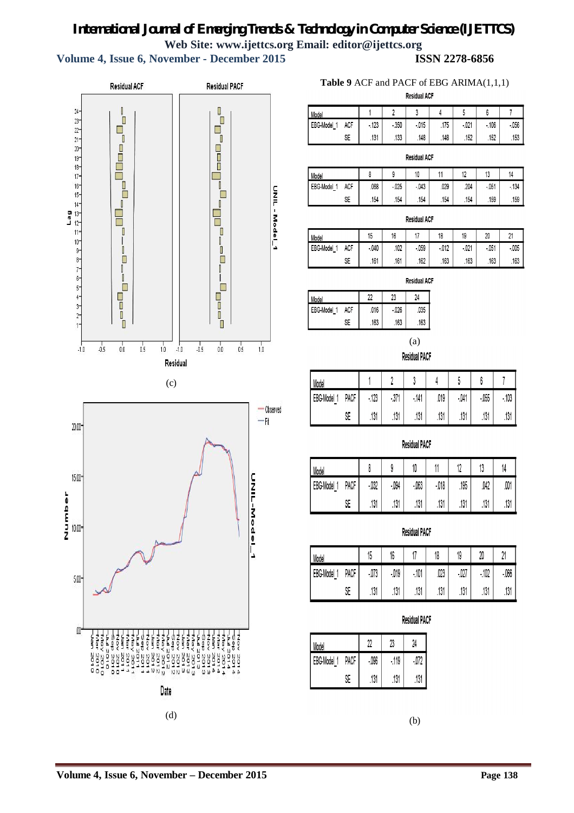**Volume 4, Issue 6, November - December 2015 ISSN 2278-6856**



# **Table 9** ACF and PACF of EBG ARIMA(1,1,1)

|                  | <b>Residual ACF</b> |        |        |        |      |        |        |          |  |  |  |
|------------------|---------------------|--------|--------|--------|------|--------|--------|----------|--|--|--|
| Model            |                     |        |        | n      |      | 5      |        |          |  |  |  |
| <b>EBG-Model</b> | <b>ACF</b>          | $-123$ | $-350$ | $-015$ | .175 | $-021$ | $-106$ | $-0.056$ |  |  |  |
|                  | SE                  | .131   | .133   | .148   | .148 | .152   | .152   | .153     |  |  |  |

#### **Residual ACF**

| Model          |     |      |        | 10        |      | $\overline{a}$<br>'- | 13        | 14        |
|----------------|-----|------|--------|-----------|------|----------------------|-----------|-----------|
| EBG-Model<br>- | ACF | .068 | $-025$ | .043<br>۰ | .029 | .204                 | .051<br>۰ | .134<br>۰ |
|                | SE  | .154 | .154   | .154      | .154 | .154                 | .159      | .159      |

#### **Residual ACF**

| Model                            |            | 45<br>15 | 16   |        | 18            | 19        | 20     | 21<br>ا ٤ |
|----------------------------------|------------|----------|------|--------|---------------|-----------|--------|-----------|
| EBG-Model<br>$\overline{A}$<br>- | <b>ACF</b> | $-040$   | .102 | $-059$ | 012<br>- U IZ | .021<br>٠ | $-051$ | $-0.005$  |
|                                  | SE         | .161     | .161 | .162   | .163          | .163      | .163   | .163      |

**Residual ACF** 

| Model       |     |      | 23     | 24   |
|-------------|-----|------|--------|------|
| EBG-Model 1 | ACF | .016 | $-026$ | .035 |
|             | ۹F  | .163 | .163   | .163 |

(a)

**Residual PACF** 

| Model          |      |        |      |        |      |        |        |        |
|----------------|------|--------|------|--------|------|--------|--------|--------|
| EBG-Model<br>- | PACF | $-123$ | .371 | $-141$ | .019 | $-041$ | $-055$ | $-103$ |
|                | SE   | .131   | .131 | .131   | .131 | .131   | .131   | .131   |

### **Residual PACF**

| Model          |      |        |        | 10     |        |      | lv   | 14   |
|----------------|------|--------|--------|--------|--------|------|------|------|
| EBG-Model<br>- | PACF | $-032$ | $-094$ | $-063$ | $-018$ | .195 | .042 | .001 |
|                | SE   | .131   | .131   | .131   | .131   | .131 | .131 | .131 |

### **Residual PACF**

| Model               |      | 15     | 16     | 47        | 18   | 19     | 20        | $\Delta$<br>۷ |
|---------------------|------|--------|--------|-----------|------|--------|-----------|---------------|
| EBG-Model<br>4<br>- | PACF | $-073$ | $-019$ | .101<br>٠ | 023  | $-027$ | .102<br>٠ | $-066$        |
|                     | SE   | .131   | .131   | .131      | .131 | .131   | .131      | .131          |

### **Residual PACF**

| Model       |      | 2      | 23     | 24   |
|-------------|------|--------|--------|------|
| EBG-Model 1 | PACF | $-096$ | $-119$ | .072 |
|             | ςF   | .131   | .131   | .131 |

(b)

**Volume 4, Issue 6, November – December 2015 Page 138**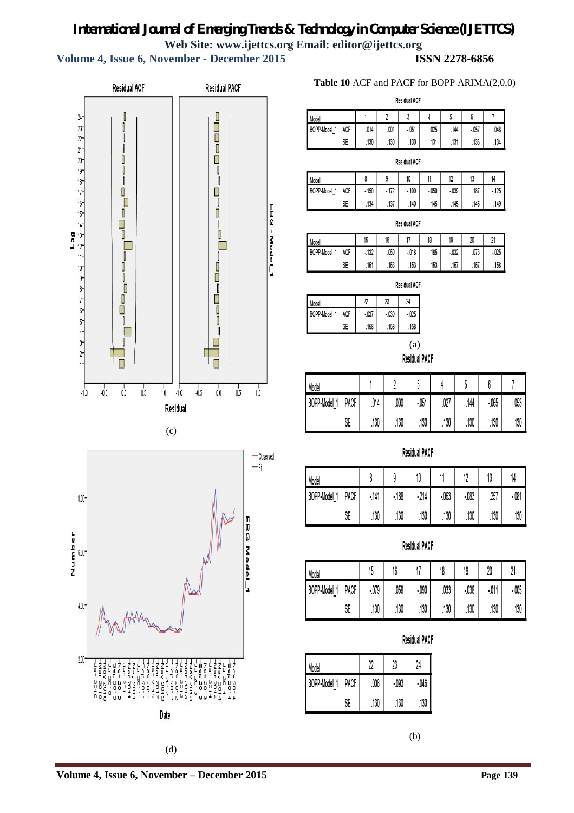**Volume 4, Issue 6, November - December 2015 ISSN 2278-6856**





## **Table 10** ACF and PACF for BOPP ARIMA(2,0,0)

**Residual ACF** 

| Model           |     |      |      |        |      |      |        |      |
|-----------------|-----|------|------|--------|------|------|--------|------|
| BOPP-Model<br>- | ACF | .014 | .001 | $-051$ | .025 | .144 | $-057$ | .048 |
|                 | SE  | .130 | .130 | .130   | .131 | .131 | .133   | .134 |

| <b>Residual ACF</b> |            |        |        |        |        |        |      |        |
|---------------------|------------|--------|--------|--------|--------|--------|------|--------|
| Model               |            |        |        | 10     |        | 12     | 13   | 14     |
| <b>BOPP-Model</b>   | <b>ACF</b> | $-150$ | $-172$ | $-190$ | $-050$ | $-039$ | .187 | $-125$ |
|                     | SE         | .134   | .137   | .140   | .145   | .145   | .145 | .149   |

|                   |     |        |      | Residual ACF |      |        |      |         |
|-------------------|-----|--------|------|--------------|------|--------|------|---------|
| Model             |     | 15     | 16   |              | 18   | 19     | 20   |         |
| <b>BOPP-Model</b> | ACF | $-132$ | .050 | $-0.018$     | .185 | $-032$ | .073 | $-0.25$ |
|                   | SE  | .151   | .153 | .153         | .153 | .157   | .157 | .158    |

**Residual ACF** 

| Model        |     | 22     | 23     | 24     |
|--------------|-----|--------|--------|--------|
| BOPP-Model 1 | ACF | $-037$ | $-030$ | $-025$ |
|              | SE  | .158   | .158   | .158   |

(a) **Residual PACF** 

| Model        |      |       |      |        |      |      |        |      |
|--------------|------|-------|------|--------|------|------|--------|------|
| BOPP-Model 1 | PACF | $014$ | ,000 | $-051$ | .027 | .144 | $-065$ | .053 |
|              | SE   | .130  | .130 | .130   | .130 | .130 | .130   | .130 |

## **Residual PACF**

| Model             |      |        |           | ıv     |        |        | 40   | 14     |
|-------------------|------|--------|-----------|--------|--------|--------|------|--------|
| BOPP-Model 1<br>- | PACF | $-141$ | :188<br>٠ | $-214$ | $-063$ | $-083$ | .257 | $-081$ |
|                   | SE   | .130   | .130      | .130   | .130   | .130   | .130 | .130   |

# **Residual PACF**

| Model            |      | 15     | 10<br>10 |         | 18   | 19     | 20     | ۸,       |
|------------------|------|--------|----------|---------|------|--------|--------|----------|
| BOPP-Model<br>-4 | PACF | $-079$ | .058     | $-0.90$ | .033 | $-038$ | $-011$ | $-0.005$ |
|                  | SE   | .130   | .130     | .130    | .130 | .130   | .130   | .130     |

# **Residual PACF**

| Model        |      | 22   | 23     | 24     |
|--------------|------|------|--------|--------|
| BOPP-Model 1 | PACF | ,008 | $-093$ | $-046$ |
|              | SE   | .130 | .130   | 130    |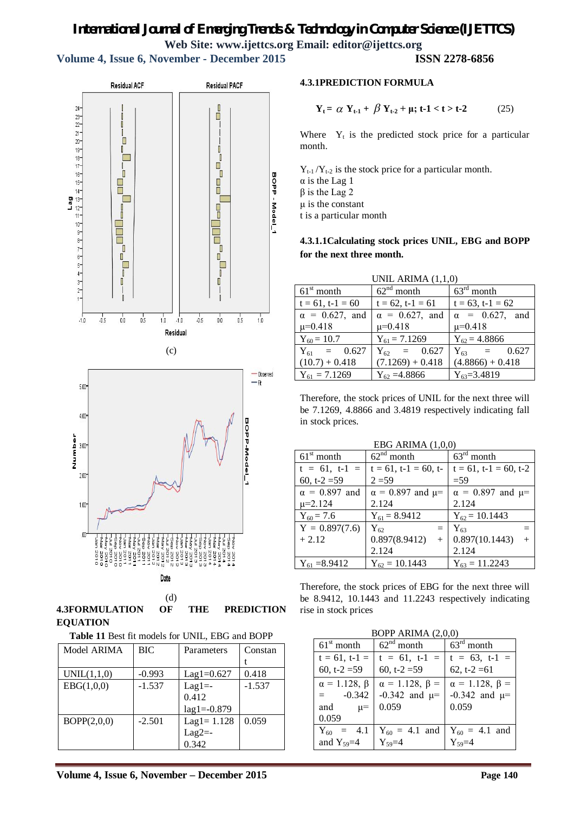**Volume 4, Issue 6, November - December 2015 ISSN 2278-6856**



**4.3FORMULATION OF THE PREDICTION EQUATION**

**Table 11** Best fit models for UNIL, EBG and BOPP

| Model ARIMA | BIC      | Parameters      | Constan  |
|-------------|----------|-----------------|----------|
|             |          |                 |          |
| UNIL(1,1,0) | $-0.993$ | $Lag1 = 0.627$  | 0.418    |
| EBG(1,0,0)  | $-1.537$ | $Lag1 = -$      | $-1.537$ |
|             |          | 0.412           |          |
|             |          | $lag1 = -0.879$ |          |
| BOPP(2,0,0) | $-2.501$ | $Lag1 = 1.128$  | 0.059    |
|             |          | $Lag2=$         |          |
|             |          | 0.342           |          |

# **4.3.1PREDICTION FORMULA**

$$
Y_t = \alpha Y_{t-1} + \beta Y_{t-2} + \mu; t - 1 < t > t - 2 \tag{25}
$$

Where  $Y_t$  is the predicted stock price for a particular month.

 $Y_{t-1}/Y_{t-2}$  is the stock price for a particular month.  $\alpha$  is the Lag 1 β is the Lag 2 μ is the constant t is a particular month

**4.3.1.1Calculating stock prices UNIL, EBG and BOPP for the next three month.**

|                        | UNIL ARIMA $(1,1,0)$   |                        |
|------------------------|------------------------|------------------------|
| $61st$ month           | $62nd$ month           | $63^{\text{rd}}$ month |
| $t = 61$ , $t-1 = 60$  | $t = 62$ , $t-1 = 61$  | $t = 63$ , $t-1 = 62$  |
| $\alpha = 0.627$ , and | $\alpha = 0.627$ , and | $\alpha$ = 0.627, and  |
| $\mu = 0.418$          | $\mu = 0.418$          | $\mu = 0.418$          |
| $Y_{60} = 10.7$        | $Y_{61} = 7.1269$      | $Y_{62} = 4.8866$      |
| $Y_{61} = 0.627$       | $Y_{62} = 0.627$       | $Y_{63} = 0.627$       |
| $(10.7) + 0.418$       | $(7.1269) + 0.418$     | $(4.8866) + 0.418$     |
| $Y_{61} = 7.1269$      | $Y_{62} = 4.8866$      | $Y_{63} = 3.4819$      |

Therefore, the stock prices of UNIL for the next three will be 7.1269, 4.8866 and 3.4819 respectively indicating fall in stock prices.

|                      | EBG ARIMA $(1,0,0)$               |                               |  |  |  |  |  |  |
|----------------------|-----------------------------------|-------------------------------|--|--|--|--|--|--|
| $61st$ month         | $\overline{62}^{\text{nd}}$ month | $63^{\text{rd}}$ month        |  |  |  |  |  |  |
| $t = 61, t-1 =$      | $t = 61$ , $t-1 = 60$ , $t-$      | $t = 61$ , $t-1 = 60$ , $t-2$ |  |  |  |  |  |  |
| 60, t-2 = $59$       | $2 = 59$                          | $=$ 59                        |  |  |  |  |  |  |
| $\alpha = 0.897$ and | $\alpha$ = 0.897 and $\mu$ =      | $\alpha = 0.897$ and $\mu$ =  |  |  |  |  |  |  |
| $\mu = 2.124$        | 2.124                             | 2.124                         |  |  |  |  |  |  |
| $Y_{60} = 7.6$       | $Y_{61} = 8.9412$                 | $Y_{62} = 10.1443$            |  |  |  |  |  |  |
| $Y = 0.897(7.6)$     | $Y_{62}$<br>$=$                   | $Y_{63}$                      |  |  |  |  |  |  |
| $+2.12$              | 0.897(8.9412)<br>$+$              | 0.897(10.1443)<br>$+$         |  |  |  |  |  |  |
|                      | 2.124                             | 2.124                         |  |  |  |  |  |  |

Therefore, the stock prices of EBG for the next three will be 8.9412, 10.1443 and 11.2243 respectively indicating rise in stock prices

 $Y_{61} = 8.9412$   $Y_{62} = 10.1443$   $Y_{63} = 11.2243$ 

| BOPP ARIMA (2,0,0) |  |
|--------------------|--|
|--------------------|--|

| $1.4$ $1.0001$ $1.0000$                                               |                                                            |                                                            |  |
|-----------------------------------------------------------------------|------------------------------------------------------------|------------------------------------------------------------|--|
| $61st$ month                                                          | $\overline{62}^{\text{nd}}$ month                          | $63^{\text{rd}}$ month                                     |  |
| $t = 61, t-1 =$                                                       | $t = 61, t-1 =$                                            | $t = 63, t-1 =$                                            |  |
| 60, t-2 = $59$                                                        | 60, t-2 = $59$                                             | 62, t-2 = 61                                               |  |
| $\alpha = 1.128, \beta$<br>$-0.342$<br>$=$<br>and<br>$\mu$ =<br>0.059 | $\alpha = 1.128, \beta =$<br>$-0.342$ and $\mu$ =<br>0.059 | $\alpha = 1.128, \beta =$<br>$-0.342$ and $\mu$ =<br>0.059 |  |
|                                                                       |                                                            |                                                            |  |
|                                                                       | $Y_{60}$ = 4.1   $Y_{60}$ = 4.1 and   $Y_{60}$ = 4.1 and   |                                                            |  |
| and $Y_{59}=4$                                                        | $Y_{59} = 4$                                               | $Y_{59} = 4$                                               |  |